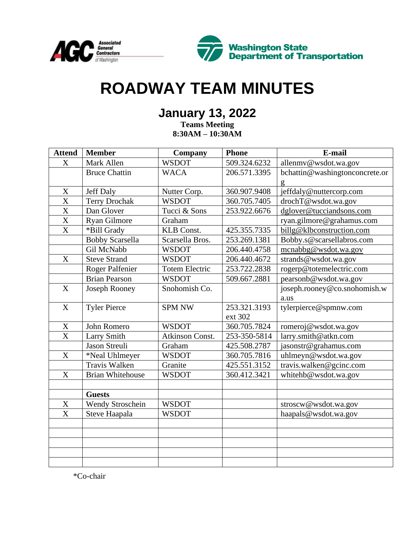



# **ROADWAY TEAM MINUTES**

# **January 13, 2022**

**Teams Meeting 8:30AM – 10:30AM**

| <b>Attend</b>         | <b>Member</b>           | Company               | <b>Phone</b> | E-mail                         |
|-----------------------|-------------------------|-----------------------|--------------|--------------------------------|
| $\mathbf X$           | Mark Allen              | <b>WSDOT</b>          | 509.324.6232 | allenmy@wsdot.wa.gov           |
|                       | <b>Bruce Chattin</b>    | <b>WACA</b>           | 206.571.3395 | bchattin@washingtonconcrete.or |
|                       |                         |                       |              | g                              |
| $\mathbf X$           | <b>Jeff Daly</b>        | Nutter Corp.          | 360.907.9408 | jeffdaly@nuttercorp.com        |
| X                     | <b>Terry Drochak</b>    | <b>WSDOT</b>          | 360.705.7405 | drochT@wsdot.wa.gov            |
| X                     | Dan Glover              | Tucci & Sons          | 253.922.6676 | dglover@tucciandsons.com       |
| $\overline{\text{X}}$ | Ryan Gilmore            | Graham                |              | ryan.gilmore@grahamus.com      |
| X                     | *Bill Grady             | KLB Const.            | 425.355.7335 | billg@klbconstruction.com      |
|                       | <b>Bobby Scarsella</b>  | Scarsella Bros.       | 253.269.1381 | Bobby.s@scarsellabros.com      |
|                       | Gil McNabb              | <b>WSDOT</b>          | 206.440.4758 | mcnabbg@wsdot.wa.gov           |
| $\mathbf X$           | <b>Steve Strand</b>     | <b>WSDOT</b>          | 206.440.4672 | strands@wsdot.wa.gov           |
|                       | Roger Palfenier         | <b>Totem Electric</b> | 253.722.2838 | rogerp@totemelectric.com       |
|                       | <b>Brian Pearson</b>    | <b>WSDOT</b>          | 509.667.2881 | pearsonb@wsdot.wa.gov          |
| $\mathbf X$           | Joseph Rooney           | Snohomish Co.         |              | joseph.rooney@co.snohomish.w   |
|                       |                         |                       |              | a.us                           |
| X                     | <b>Tyler Pierce</b>     | <b>SPM NW</b>         | 253.321.3193 | tylerpierce@spmnw.com          |
|                       |                         |                       | ext 302      |                                |
| X                     | John Romero             | <b>WSDOT</b>          | 360.705.7824 | romeroj@wsdot.wa.gov           |
| X                     | Larry Smith             | Atkinson Const.       | 253-350-5814 | larry.smith@atkn.com           |
|                       | Jason Streuli           | Graham                | 425.508.2787 | jasonstr@grahamus.com          |
| X                     | *Neal Uhlmeyer          | <b>WSDOT</b>          | 360.705.7816 | uhlmeyn@wsdot.wa.gov           |
|                       | <b>Travis Walken</b>    | Granite               | 425.551.3152 | travis.walken@gcinc.com        |
| X                     | <b>Brian Whitehouse</b> | <b>WSDOT</b>          | 360.412.3421 | whitehb@wsdot.wa.gov           |
|                       |                         |                       |              |                                |
|                       | <b>Guests</b>           |                       |              |                                |
| $\mathbf X$           | Wendy Stroschein        | <b>WSDOT</b>          |              | stroscw@wsdot.wa.gov           |
| X                     | Steve Haapala           | <b>WSDOT</b>          |              | haapals@wsdot.wa.gov           |
|                       |                         |                       |              |                                |
|                       |                         |                       |              |                                |
|                       |                         |                       |              |                                |
|                       |                         |                       |              |                                |
|                       |                         |                       |              |                                |

\*Co-chair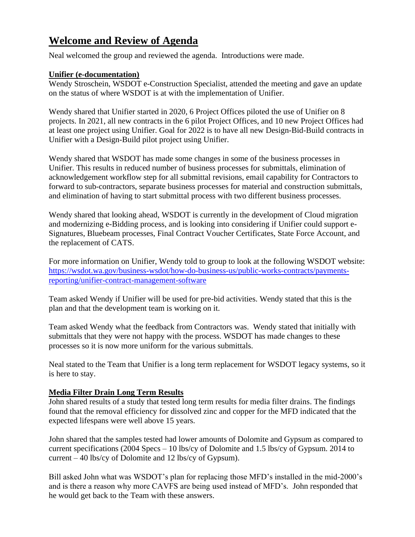# **Welcome and Review of Agenda**

Neal welcomed the group and reviewed the agenda. Introductions were made.

# **Unifier (e-documentation)**

Wendy Stroschein, WSDOT e-Construction Specialist, attended the meeting and gave an update on the status of where WSDOT is at with the implementation of Unifier.

Wendy shared that Unifier started in 2020, 6 Project Offices piloted the use of Unifier on 8 projects. In 2021, all new contracts in the 6 pilot Project Offices, and 10 new Project Offices had at least one project using Unifier. Goal for 2022 is to have all new Design-Bid-Build contracts in Unifier with a Design-Build pilot project using Unifier.

Wendy shared that WSDOT has made some changes in some of the business processes in Unifier. This results in reduced number of business processes for submittals, elimination of acknowledgement workflow step for all submittal revisions, email capability for Contractors to forward to sub-contractors, separate business processes for material and construction submittals, and elimination of having to start submittal process with two different business processes.

Wendy shared that looking ahead, WSDOT is currently in the development of Cloud migration and modernizing e-Bidding process, and is looking into considering if Unifier could support e-Signatures, Bluebeam processes, Final Contract Voucher Certificates, State Force Account, and the replacement of CATS.

For more information on Unifier, Wendy told to group to look at the following WSDOT website: [https://wsdot.wa.gov/business-wsdot/how-do-business-us/public-works-contracts/payments](https://wsdot.wa.gov/business-wsdot/how-do-business-us/public-works-contracts/payments-reporting/unifier-contract-management-software)[reporting/unifier-contract-management-software](https://wsdot.wa.gov/business-wsdot/how-do-business-us/public-works-contracts/payments-reporting/unifier-contract-management-software)

Team asked Wendy if Unifier will be used for pre-bid activities. Wendy stated that this is the plan and that the development team is working on it.

Team asked Wendy what the feedback from Contractors was. Wendy stated that initially with submittals that they were not happy with the process. WSDOT has made changes to these processes so it is now more uniform for the various submittals.

Neal stated to the Team that Unifier is a long term replacement for WSDOT legacy systems, so it is here to stay.

# **Media Filter Drain Long Term Results**

John shared results of a study that tested long term results for media filter drains. The findings found that the removal efficiency for dissolved zinc and copper for the MFD indicated that the expected lifespans were well above 15 years.

John shared that the samples tested had lower amounts of Dolomite and Gypsum as compared to current specifications (2004 Specs – 10 lbs/cy of Dolomite and 1.5 lbs/cy of Gypsum. 2014 to current – 40 lbs/cy of Dolomite and 12 lbs/cy of Gypsum).

Bill asked John what was WSDOT's plan for replacing those MFD's installed in the mid-2000's and is there a reason why more CAVFS are being used instead of MFD's. John responded that he would get back to the Team with these answers.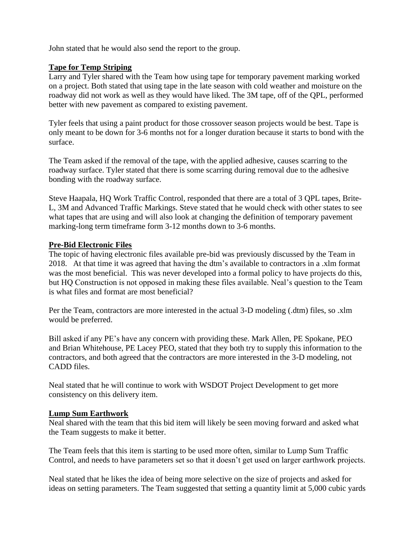John stated that he would also send the report to the group.

# **Tape for Temp Striping**

Larry and Tyler shared with the Team how using tape for temporary pavement marking worked on a project. Both stated that using tape in the late season with cold weather and moisture on the roadway did not work as well as they would have liked. The 3M tape, off of the QPL, performed better with new pavement as compared to existing pavement.

Tyler feels that using a paint product for those crossover season projects would be best. Tape is only meant to be down for 3-6 months not for a longer duration because it starts to bond with the surface.

The Team asked if the removal of the tape, with the applied adhesive, causes scarring to the roadway surface. Tyler stated that there is some scarring during removal due to the adhesive bonding with the roadway surface.

Steve Haapala, HQ Work Traffic Control, responded that there are a total of 3 QPL tapes, Brite-L, 3M and Advanced Traffic Markings. Steve stated that he would check with other states to see what tapes that are using and will also look at changing the definition of temporary pavement marking-long term timeframe form 3-12 months down to 3-6 months.

#### **Pre-Bid Electronic Files**

The topic of having electronic files available pre-bid was previously discussed by the Team in 2018. At that time it was agreed that having the dtm's available to contractors in a .xlm format was the most beneficial. This was never developed into a formal policy to have projects do this, but HQ Construction is not opposed in making these files available. Neal's question to the Team is what files and format are most beneficial?

Per the Team, contractors are more interested in the actual 3-D modeling (.dtm) files, so .xlm would be preferred.

Bill asked if any PE's have any concern with providing these. Mark Allen, PE Spokane, PEO and Brian Whitehouse, PE Lacey PEO, stated that they both try to supply this information to the contractors, and both agreed that the contractors are more interested in the 3-D modeling, not CADD files.

Neal stated that he will continue to work with WSDOT Project Development to get more consistency on this delivery item.

#### **Lump Sum Earthwork**

Neal shared with the team that this bid item will likely be seen moving forward and asked what the Team suggests to make it better.

The Team feels that this item is starting to be used more often, similar to Lump Sum Traffic Control, and needs to have parameters set so that it doesn't get used on larger earthwork projects.

Neal stated that he likes the idea of being more selective on the size of projects and asked for ideas on setting parameters. The Team suggested that setting a quantity limit at 5,000 cubic yards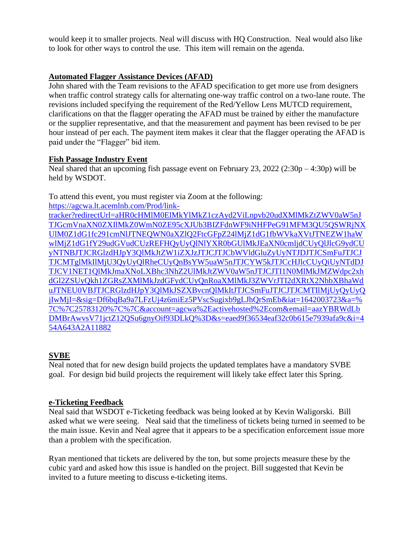would keep it to smaller projects. Neal will discuss with HQ Construction. Neal would also like to look for other ways to control the use. This item will remain on the agenda.

# **Automated Flagger Assistance Devices (AFAD)**

John shared with the Team revisions to the AFAD specification to get more use from designers when traffic control strategy calls for alternating one-way traffic control on a two-lane route. The revisions included specifying the requirement of the Red/Yellow Lens MUTCD requirement, clarifications on that the flagger operating the AFAD must be trained by either the manufacture or the supplier representative, and that the measurement and payment has been revised to be per hour instead of per each. The payment item makes it clear that the flagger operating the AFAD is paid under the "Flagger" bid item.

# **Fish Passage Industry Event**

Neal shared that an upcoming fish passage event on February 23,  $2022 (2:30p - 4:30p)$  will be held by WSDOT.

To attend this event, you must register via Zoom at the following:

[https://agcwa.lt.acemlnb.com/Prod/link](https://agcwa.lt.acemlnb.com/Prod/link-tracker?redirectUrl=aHR0cHMlM0ElMkYlMkZ1czAyd2ViLnpvb20udXMlMkZtZWV0aW5nJTJGcmVnaXN0ZXIlMkZ0WmN0ZE95cXJUb3BIZFdnWF9iNHFPeG91MFM3QU5QSWRjNXUlM0Z1dG1fc291cmNlJTNEQWN0aXZlQ2FtcGFpZ24lMjZ1dG1fbWVkaXVtJTNEZW1haWwlMjZ1dG1fY29udGVudCUzREFHQyUyQlNlYXR0bGUlMkJEaXN0cmljdCUyQlJlcG9ydCUyNTNBJTJCRGlzdHJpY3QlMkJtZW1iZXJzJTJCJTJCbWVldGluZyUyNTJDJTJCSmFuJTJCJTJCMTglMkIlMjU3QyUyQlRheCUyQnBsYW5uaW5nJTJCYW5kJTJCcHJlcCUyQiUyNTdDJTJCV1NET1QlMkJmaXNoLXBhc3NhZ2UlMkJtZWV0aW5nJTJCJTI1N0MlMkJMZWdpc2xhdGl2ZSUyQkh1ZGRsZXMlMkJzdGFydCUyQnRoaXMlMkJ3ZWVrJTI2dXRtX2NhbXBhaWduJTNEU0VBJTJCRGlzdHJpY3QlMkJSZXBvcnQlMkItJTJCSmFuJTJCJTJCMTIlMjUyQyUyQjIwMjI=&sig=Df6bqBa9a7LFzUj4z6miEz5PVscSugixb9gLJhQrSmEb&iat=1642003723&a=%7C%7C25783120%7C%7C&account=agcwa%2Eactivehosted%2Ecom&email=aazYBRWdLbDMBrAwvsV71jctZ12QSu6gnyOif93DLkQ%3D&s=eaed9f36534eaf32c0b615e7939afa9c&i=454A643A2A11882)[tracker?redirectUrl=aHR0cHMlM0ElMkYlMkZ1czAyd2ViLnpvb20udXMlMkZtZWV0aW5nJ](https://agcwa.lt.acemlnb.com/Prod/link-tracker?redirectUrl=aHR0cHMlM0ElMkYlMkZ1czAyd2ViLnpvb20udXMlMkZtZWV0aW5nJTJGcmVnaXN0ZXIlMkZ0WmN0ZE95cXJUb3BIZFdnWF9iNHFPeG91MFM3QU5QSWRjNXUlM0Z1dG1fc291cmNlJTNEQWN0aXZlQ2FtcGFpZ24lMjZ1dG1fbWVkaXVtJTNEZW1haWwlMjZ1dG1fY29udGVudCUzREFHQyUyQlNlYXR0bGUlMkJEaXN0cmljdCUyQlJlcG9ydCUyNTNBJTJCRGlzdHJpY3QlMkJtZW1iZXJzJTJCJTJCbWVldGluZyUyNTJDJTJCSmFuJTJCJTJCMTglMkIlMjU3QyUyQlRheCUyQnBsYW5uaW5nJTJCYW5kJTJCcHJlcCUyQiUyNTdDJTJCV1NET1QlMkJmaXNoLXBhc3NhZ2UlMkJtZWV0aW5nJTJCJTI1N0MlMkJMZWdpc2xhdGl2ZSUyQkh1ZGRsZXMlMkJzdGFydCUyQnRoaXMlMkJ3ZWVrJTI2dXRtX2NhbXBhaWduJTNEU0VBJTJCRGlzdHJpY3QlMkJSZXBvcnQlMkItJTJCSmFuJTJCJTJCMTIlMjUyQyUyQjIwMjI=&sig=Df6bqBa9a7LFzUj4z6miEz5PVscSugixb9gLJhQrSmEb&iat=1642003723&a=%7C%7C25783120%7C%7C&account=agcwa%2Eactivehosted%2Ecom&email=aazYBRWdLbDMBrAwvsV71jctZ12QSu6gnyOif93DLkQ%3D&s=eaed9f36534eaf32c0b615e7939afa9c&i=454A643A2A11882) [TJGcmVnaXN0ZXIlMkZ0WmN0ZE95cXJUb3BIZFdnWF9iNHFPeG91MFM3QU5QSWRjNX](https://agcwa.lt.acemlnb.com/Prod/link-tracker?redirectUrl=aHR0cHMlM0ElMkYlMkZ1czAyd2ViLnpvb20udXMlMkZtZWV0aW5nJTJGcmVnaXN0ZXIlMkZ0WmN0ZE95cXJUb3BIZFdnWF9iNHFPeG91MFM3QU5QSWRjNXUlM0Z1dG1fc291cmNlJTNEQWN0aXZlQ2FtcGFpZ24lMjZ1dG1fbWVkaXVtJTNEZW1haWwlMjZ1dG1fY29udGVudCUzREFHQyUyQlNlYXR0bGUlMkJEaXN0cmljdCUyQlJlcG9ydCUyNTNBJTJCRGlzdHJpY3QlMkJtZW1iZXJzJTJCJTJCbWVldGluZyUyNTJDJTJCSmFuJTJCJTJCMTglMkIlMjU3QyUyQlRheCUyQnBsYW5uaW5nJTJCYW5kJTJCcHJlcCUyQiUyNTdDJTJCV1NET1QlMkJmaXNoLXBhc3NhZ2UlMkJtZWV0aW5nJTJCJTI1N0MlMkJMZWdpc2xhdGl2ZSUyQkh1ZGRsZXMlMkJzdGFydCUyQnRoaXMlMkJ3ZWVrJTI2dXRtX2NhbXBhaWduJTNEU0VBJTJCRGlzdHJpY3QlMkJSZXBvcnQlMkItJTJCSmFuJTJCJTJCMTIlMjUyQyUyQjIwMjI=&sig=Df6bqBa9a7LFzUj4z6miEz5PVscSugixb9gLJhQrSmEb&iat=1642003723&a=%7C%7C25783120%7C%7C&account=agcwa%2Eactivehosted%2Ecom&email=aazYBRWdLbDMBrAwvsV71jctZ12QSu6gnyOif93DLkQ%3D&s=eaed9f36534eaf32c0b615e7939afa9c&i=454A643A2A11882) [UlM0Z1dG1fc291cmNlJTNEQWN0aXZlQ2FtcGFpZ24lMjZ1dG1fbWVkaXVtJTNEZW1haW](https://agcwa.lt.acemlnb.com/Prod/link-tracker?redirectUrl=aHR0cHMlM0ElMkYlMkZ1czAyd2ViLnpvb20udXMlMkZtZWV0aW5nJTJGcmVnaXN0ZXIlMkZ0WmN0ZE95cXJUb3BIZFdnWF9iNHFPeG91MFM3QU5QSWRjNXUlM0Z1dG1fc291cmNlJTNEQWN0aXZlQ2FtcGFpZ24lMjZ1dG1fbWVkaXVtJTNEZW1haWwlMjZ1dG1fY29udGVudCUzREFHQyUyQlNlYXR0bGUlMkJEaXN0cmljdCUyQlJlcG9ydCUyNTNBJTJCRGlzdHJpY3QlMkJtZW1iZXJzJTJCJTJCbWVldGluZyUyNTJDJTJCSmFuJTJCJTJCMTglMkIlMjU3QyUyQlRheCUyQnBsYW5uaW5nJTJCYW5kJTJCcHJlcCUyQiUyNTdDJTJCV1NET1QlMkJmaXNoLXBhc3NhZ2UlMkJtZWV0aW5nJTJCJTI1N0MlMkJMZWdpc2xhdGl2ZSUyQkh1ZGRsZXMlMkJzdGFydCUyQnRoaXMlMkJ3ZWVrJTI2dXRtX2NhbXBhaWduJTNEU0VBJTJCRGlzdHJpY3QlMkJSZXBvcnQlMkItJTJCSmFuJTJCJTJCMTIlMjUyQyUyQjIwMjI=&sig=Df6bqBa9a7LFzUj4z6miEz5PVscSugixb9gLJhQrSmEb&iat=1642003723&a=%7C%7C25783120%7C%7C&account=agcwa%2Eactivehosted%2Ecom&email=aazYBRWdLbDMBrAwvsV71jctZ12QSu6gnyOif93DLkQ%3D&s=eaed9f36534eaf32c0b615e7939afa9c&i=454A643A2A11882) [wlMjZ1dG1fY29udGVudCUzREFHQyUyQlNlYXR0bGUlMkJEaXN0cmljdCUyQlJlcG9ydCU](https://agcwa.lt.acemlnb.com/Prod/link-tracker?redirectUrl=aHR0cHMlM0ElMkYlMkZ1czAyd2ViLnpvb20udXMlMkZtZWV0aW5nJTJGcmVnaXN0ZXIlMkZ0WmN0ZE95cXJUb3BIZFdnWF9iNHFPeG91MFM3QU5QSWRjNXUlM0Z1dG1fc291cmNlJTNEQWN0aXZlQ2FtcGFpZ24lMjZ1dG1fbWVkaXVtJTNEZW1haWwlMjZ1dG1fY29udGVudCUzREFHQyUyQlNlYXR0bGUlMkJEaXN0cmljdCUyQlJlcG9ydCUyNTNBJTJCRGlzdHJpY3QlMkJtZW1iZXJzJTJCJTJCbWVldGluZyUyNTJDJTJCSmFuJTJCJTJCMTglMkIlMjU3QyUyQlRheCUyQnBsYW5uaW5nJTJCYW5kJTJCcHJlcCUyQiUyNTdDJTJCV1NET1QlMkJmaXNoLXBhc3NhZ2UlMkJtZWV0aW5nJTJCJTI1N0MlMkJMZWdpc2xhdGl2ZSUyQkh1ZGRsZXMlMkJzdGFydCUyQnRoaXMlMkJ3ZWVrJTI2dXRtX2NhbXBhaWduJTNEU0VBJTJCRGlzdHJpY3QlMkJSZXBvcnQlMkItJTJCSmFuJTJCJTJCMTIlMjUyQyUyQjIwMjI=&sig=Df6bqBa9a7LFzUj4z6miEz5PVscSugixb9gLJhQrSmEb&iat=1642003723&a=%7C%7C25783120%7C%7C&account=agcwa%2Eactivehosted%2Ecom&email=aazYBRWdLbDMBrAwvsV71jctZ12QSu6gnyOif93DLkQ%3D&s=eaed9f36534eaf32c0b615e7939afa9c&i=454A643A2A11882) [yNTNBJTJCRGlzdHJpY3QlMkJtZW1iZXJzJTJCJTJCbWVldGluZyUyNTJDJTJCSmFuJTJCJ](https://agcwa.lt.acemlnb.com/Prod/link-tracker?redirectUrl=aHR0cHMlM0ElMkYlMkZ1czAyd2ViLnpvb20udXMlMkZtZWV0aW5nJTJGcmVnaXN0ZXIlMkZ0WmN0ZE95cXJUb3BIZFdnWF9iNHFPeG91MFM3QU5QSWRjNXUlM0Z1dG1fc291cmNlJTNEQWN0aXZlQ2FtcGFpZ24lMjZ1dG1fbWVkaXVtJTNEZW1haWwlMjZ1dG1fY29udGVudCUzREFHQyUyQlNlYXR0bGUlMkJEaXN0cmljdCUyQlJlcG9ydCUyNTNBJTJCRGlzdHJpY3QlMkJtZW1iZXJzJTJCJTJCbWVldGluZyUyNTJDJTJCSmFuJTJCJTJCMTglMkIlMjU3QyUyQlRheCUyQnBsYW5uaW5nJTJCYW5kJTJCcHJlcCUyQiUyNTdDJTJCV1NET1QlMkJmaXNoLXBhc3NhZ2UlMkJtZWV0aW5nJTJCJTI1N0MlMkJMZWdpc2xhdGl2ZSUyQkh1ZGRsZXMlMkJzdGFydCUyQnRoaXMlMkJ3ZWVrJTI2dXRtX2NhbXBhaWduJTNEU0VBJTJCRGlzdHJpY3QlMkJSZXBvcnQlMkItJTJCSmFuJTJCJTJCMTIlMjUyQyUyQjIwMjI=&sig=Df6bqBa9a7LFzUj4z6miEz5PVscSugixb9gLJhQrSmEb&iat=1642003723&a=%7C%7C25783120%7C%7C&account=agcwa%2Eactivehosted%2Ecom&email=aazYBRWdLbDMBrAwvsV71jctZ12QSu6gnyOif93DLkQ%3D&s=eaed9f36534eaf32c0b615e7939afa9c&i=454A643A2A11882) [TJCMTglMkIlMjU3QyUyQlRheCUyQnBsYW5uaW5nJTJCYW5kJTJCcHJlcCUyQiUyNTdDJ](https://agcwa.lt.acemlnb.com/Prod/link-tracker?redirectUrl=aHR0cHMlM0ElMkYlMkZ1czAyd2ViLnpvb20udXMlMkZtZWV0aW5nJTJGcmVnaXN0ZXIlMkZ0WmN0ZE95cXJUb3BIZFdnWF9iNHFPeG91MFM3QU5QSWRjNXUlM0Z1dG1fc291cmNlJTNEQWN0aXZlQ2FtcGFpZ24lMjZ1dG1fbWVkaXVtJTNEZW1haWwlMjZ1dG1fY29udGVudCUzREFHQyUyQlNlYXR0bGUlMkJEaXN0cmljdCUyQlJlcG9ydCUyNTNBJTJCRGlzdHJpY3QlMkJtZW1iZXJzJTJCJTJCbWVldGluZyUyNTJDJTJCSmFuJTJCJTJCMTglMkIlMjU3QyUyQlRheCUyQnBsYW5uaW5nJTJCYW5kJTJCcHJlcCUyQiUyNTdDJTJCV1NET1QlMkJmaXNoLXBhc3NhZ2UlMkJtZWV0aW5nJTJCJTI1N0MlMkJMZWdpc2xhdGl2ZSUyQkh1ZGRsZXMlMkJzdGFydCUyQnRoaXMlMkJ3ZWVrJTI2dXRtX2NhbXBhaWduJTNEU0VBJTJCRGlzdHJpY3QlMkJSZXBvcnQlMkItJTJCSmFuJTJCJTJCMTIlMjUyQyUyQjIwMjI=&sig=Df6bqBa9a7LFzUj4z6miEz5PVscSugixb9gLJhQrSmEb&iat=1642003723&a=%7C%7C25783120%7C%7C&account=agcwa%2Eactivehosted%2Ecom&email=aazYBRWdLbDMBrAwvsV71jctZ12QSu6gnyOif93DLkQ%3D&s=eaed9f36534eaf32c0b615e7939afa9c&i=454A643A2A11882) [TJCV1NET1QlMkJmaXNoLXBhc3NhZ2UlMkJtZWV0aW5nJTJCJTI1N0MlMkJMZWdpc2xh](https://agcwa.lt.acemlnb.com/Prod/link-tracker?redirectUrl=aHR0cHMlM0ElMkYlMkZ1czAyd2ViLnpvb20udXMlMkZtZWV0aW5nJTJGcmVnaXN0ZXIlMkZ0WmN0ZE95cXJUb3BIZFdnWF9iNHFPeG91MFM3QU5QSWRjNXUlM0Z1dG1fc291cmNlJTNEQWN0aXZlQ2FtcGFpZ24lMjZ1dG1fbWVkaXVtJTNEZW1haWwlMjZ1dG1fY29udGVudCUzREFHQyUyQlNlYXR0bGUlMkJEaXN0cmljdCUyQlJlcG9ydCUyNTNBJTJCRGlzdHJpY3QlMkJtZW1iZXJzJTJCJTJCbWVldGluZyUyNTJDJTJCSmFuJTJCJTJCMTglMkIlMjU3QyUyQlRheCUyQnBsYW5uaW5nJTJCYW5kJTJCcHJlcCUyQiUyNTdDJTJCV1NET1QlMkJmaXNoLXBhc3NhZ2UlMkJtZWV0aW5nJTJCJTI1N0MlMkJMZWdpc2xhdGl2ZSUyQkh1ZGRsZXMlMkJzdGFydCUyQnRoaXMlMkJ3ZWVrJTI2dXRtX2NhbXBhaWduJTNEU0VBJTJCRGlzdHJpY3QlMkJSZXBvcnQlMkItJTJCSmFuJTJCJTJCMTIlMjUyQyUyQjIwMjI=&sig=Df6bqBa9a7LFzUj4z6miEz5PVscSugixb9gLJhQrSmEb&iat=1642003723&a=%7C%7C25783120%7C%7C&account=agcwa%2Eactivehosted%2Ecom&email=aazYBRWdLbDMBrAwvsV71jctZ12QSu6gnyOif93DLkQ%3D&s=eaed9f36534eaf32c0b615e7939afa9c&i=454A643A2A11882) [dGl2ZSUyQkh1ZGRsZXMlMkJzdGFydCUyQnRoaXMlMkJ3ZWVrJTI2dXRtX2NhbXBhaWd](https://agcwa.lt.acemlnb.com/Prod/link-tracker?redirectUrl=aHR0cHMlM0ElMkYlMkZ1czAyd2ViLnpvb20udXMlMkZtZWV0aW5nJTJGcmVnaXN0ZXIlMkZ0WmN0ZE95cXJUb3BIZFdnWF9iNHFPeG91MFM3QU5QSWRjNXUlM0Z1dG1fc291cmNlJTNEQWN0aXZlQ2FtcGFpZ24lMjZ1dG1fbWVkaXVtJTNEZW1haWwlMjZ1dG1fY29udGVudCUzREFHQyUyQlNlYXR0bGUlMkJEaXN0cmljdCUyQlJlcG9ydCUyNTNBJTJCRGlzdHJpY3QlMkJtZW1iZXJzJTJCJTJCbWVldGluZyUyNTJDJTJCSmFuJTJCJTJCMTglMkIlMjU3QyUyQlRheCUyQnBsYW5uaW5nJTJCYW5kJTJCcHJlcCUyQiUyNTdDJTJCV1NET1QlMkJmaXNoLXBhc3NhZ2UlMkJtZWV0aW5nJTJCJTI1N0MlMkJMZWdpc2xhdGl2ZSUyQkh1ZGRsZXMlMkJzdGFydCUyQnRoaXMlMkJ3ZWVrJTI2dXRtX2NhbXBhaWduJTNEU0VBJTJCRGlzdHJpY3QlMkJSZXBvcnQlMkItJTJCSmFuJTJCJTJCMTIlMjUyQyUyQjIwMjI=&sig=Df6bqBa9a7LFzUj4z6miEz5PVscSugixb9gLJhQrSmEb&iat=1642003723&a=%7C%7C25783120%7C%7C&account=agcwa%2Eactivehosted%2Ecom&email=aazYBRWdLbDMBrAwvsV71jctZ12QSu6gnyOif93DLkQ%3D&s=eaed9f36534eaf32c0b615e7939afa9c&i=454A643A2A11882) [uJTNEU0VBJTJCRGlzdHJpY3QlMkJSZXBvcnQlMkItJTJCSmFuJTJCJTJCMTIlMjUyQyUyQ](https://agcwa.lt.acemlnb.com/Prod/link-tracker?redirectUrl=aHR0cHMlM0ElMkYlMkZ1czAyd2ViLnpvb20udXMlMkZtZWV0aW5nJTJGcmVnaXN0ZXIlMkZ0WmN0ZE95cXJUb3BIZFdnWF9iNHFPeG91MFM3QU5QSWRjNXUlM0Z1dG1fc291cmNlJTNEQWN0aXZlQ2FtcGFpZ24lMjZ1dG1fbWVkaXVtJTNEZW1haWwlMjZ1dG1fY29udGVudCUzREFHQyUyQlNlYXR0bGUlMkJEaXN0cmljdCUyQlJlcG9ydCUyNTNBJTJCRGlzdHJpY3QlMkJtZW1iZXJzJTJCJTJCbWVldGluZyUyNTJDJTJCSmFuJTJCJTJCMTglMkIlMjU3QyUyQlRheCUyQnBsYW5uaW5nJTJCYW5kJTJCcHJlcCUyQiUyNTdDJTJCV1NET1QlMkJmaXNoLXBhc3NhZ2UlMkJtZWV0aW5nJTJCJTI1N0MlMkJMZWdpc2xhdGl2ZSUyQkh1ZGRsZXMlMkJzdGFydCUyQnRoaXMlMkJ3ZWVrJTI2dXRtX2NhbXBhaWduJTNEU0VBJTJCRGlzdHJpY3QlMkJSZXBvcnQlMkItJTJCSmFuJTJCJTJCMTIlMjUyQyUyQjIwMjI=&sig=Df6bqBa9a7LFzUj4z6miEz5PVscSugixb9gLJhQrSmEb&iat=1642003723&a=%7C%7C25783120%7C%7C&account=agcwa%2Eactivehosted%2Ecom&email=aazYBRWdLbDMBrAwvsV71jctZ12QSu6gnyOif93DLkQ%3D&s=eaed9f36534eaf32c0b615e7939afa9c&i=454A643A2A11882) [jIwMjI=&sig=Df6bqBa9a7LFzUj4z6miEz5PVscSugixb9gLJhQrSmEb&iat=1642003723&a=%](https://agcwa.lt.acemlnb.com/Prod/link-tracker?redirectUrl=aHR0cHMlM0ElMkYlMkZ1czAyd2ViLnpvb20udXMlMkZtZWV0aW5nJTJGcmVnaXN0ZXIlMkZ0WmN0ZE95cXJUb3BIZFdnWF9iNHFPeG91MFM3QU5QSWRjNXUlM0Z1dG1fc291cmNlJTNEQWN0aXZlQ2FtcGFpZ24lMjZ1dG1fbWVkaXVtJTNEZW1haWwlMjZ1dG1fY29udGVudCUzREFHQyUyQlNlYXR0bGUlMkJEaXN0cmljdCUyQlJlcG9ydCUyNTNBJTJCRGlzdHJpY3QlMkJtZW1iZXJzJTJCJTJCbWVldGluZyUyNTJDJTJCSmFuJTJCJTJCMTglMkIlMjU3QyUyQlRheCUyQnBsYW5uaW5nJTJCYW5kJTJCcHJlcCUyQiUyNTdDJTJCV1NET1QlMkJmaXNoLXBhc3NhZ2UlMkJtZWV0aW5nJTJCJTI1N0MlMkJMZWdpc2xhdGl2ZSUyQkh1ZGRsZXMlMkJzdGFydCUyQnRoaXMlMkJ3ZWVrJTI2dXRtX2NhbXBhaWduJTNEU0VBJTJCRGlzdHJpY3QlMkJSZXBvcnQlMkItJTJCSmFuJTJCJTJCMTIlMjUyQyUyQjIwMjI=&sig=Df6bqBa9a7LFzUj4z6miEz5PVscSugixb9gLJhQrSmEb&iat=1642003723&a=%7C%7C25783120%7C%7C&account=agcwa%2Eactivehosted%2Ecom&email=aazYBRWdLbDMBrAwvsV71jctZ12QSu6gnyOif93DLkQ%3D&s=eaed9f36534eaf32c0b615e7939afa9c&i=454A643A2A11882) [7C%7C25783120%7C%7C&account=agcwa%2Eactivehosted%2Ecom&email=aazYBRWdLb](https://agcwa.lt.acemlnb.com/Prod/link-tracker?redirectUrl=aHR0cHMlM0ElMkYlMkZ1czAyd2ViLnpvb20udXMlMkZtZWV0aW5nJTJGcmVnaXN0ZXIlMkZ0WmN0ZE95cXJUb3BIZFdnWF9iNHFPeG91MFM3QU5QSWRjNXUlM0Z1dG1fc291cmNlJTNEQWN0aXZlQ2FtcGFpZ24lMjZ1dG1fbWVkaXVtJTNEZW1haWwlMjZ1dG1fY29udGVudCUzREFHQyUyQlNlYXR0bGUlMkJEaXN0cmljdCUyQlJlcG9ydCUyNTNBJTJCRGlzdHJpY3QlMkJtZW1iZXJzJTJCJTJCbWVldGluZyUyNTJDJTJCSmFuJTJCJTJCMTglMkIlMjU3QyUyQlRheCUyQnBsYW5uaW5nJTJCYW5kJTJCcHJlcCUyQiUyNTdDJTJCV1NET1QlMkJmaXNoLXBhc3NhZ2UlMkJtZWV0aW5nJTJCJTI1N0MlMkJMZWdpc2xhdGl2ZSUyQkh1ZGRsZXMlMkJzdGFydCUyQnRoaXMlMkJ3ZWVrJTI2dXRtX2NhbXBhaWduJTNEU0VBJTJCRGlzdHJpY3QlMkJSZXBvcnQlMkItJTJCSmFuJTJCJTJCMTIlMjUyQyUyQjIwMjI=&sig=Df6bqBa9a7LFzUj4z6miEz5PVscSugixb9gLJhQrSmEb&iat=1642003723&a=%7C%7C25783120%7C%7C&account=agcwa%2Eactivehosted%2Ecom&email=aazYBRWdLbDMBrAwvsV71jctZ12QSu6gnyOif93DLkQ%3D&s=eaed9f36534eaf32c0b615e7939afa9c&i=454A643A2A11882) [DMBrAwvsV71jctZ12QSu6gnyOif93DLkQ%3D&s=eaed9f36534eaf32c0b615e7939afa9c&i=4](https://agcwa.lt.acemlnb.com/Prod/link-tracker?redirectUrl=aHR0cHMlM0ElMkYlMkZ1czAyd2ViLnpvb20udXMlMkZtZWV0aW5nJTJGcmVnaXN0ZXIlMkZ0WmN0ZE95cXJUb3BIZFdnWF9iNHFPeG91MFM3QU5QSWRjNXUlM0Z1dG1fc291cmNlJTNEQWN0aXZlQ2FtcGFpZ24lMjZ1dG1fbWVkaXVtJTNEZW1haWwlMjZ1dG1fY29udGVudCUzREFHQyUyQlNlYXR0bGUlMkJEaXN0cmljdCUyQlJlcG9ydCUyNTNBJTJCRGlzdHJpY3QlMkJtZW1iZXJzJTJCJTJCbWVldGluZyUyNTJDJTJCSmFuJTJCJTJCMTglMkIlMjU3QyUyQlRheCUyQnBsYW5uaW5nJTJCYW5kJTJCcHJlcCUyQiUyNTdDJTJCV1NET1QlMkJmaXNoLXBhc3NhZ2UlMkJtZWV0aW5nJTJCJTI1N0MlMkJMZWdpc2xhdGl2ZSUyQkh1ZGRsZXMlMkJzdGFydCUyQnRoaXMlMkJ3ZWVrJTI2dXRtX2NhbXBhaWduJTNEU0VBJTJCRGlzdHJpY3QlMkJSZXBvcnQlMkItJTJCSmFuJTJCJTJCMTIlMjUyQyUyQjIwMjI=&sig=Df6bqBa9a7LFzUj4z6miEz5PVscSugixb9gLJhQrSmEb&iat=1642003723&a=%7C%7C25783120%7C%7C&account=agcwa%2Eactivehosted%2Ecom&email=aazYBRWdLbDMBrAwvsV71jctZ12QSu6gnyOif93DLkQ%3D&s=eaed9f36534eaf32c0b615e7939afa9c&i=454A643A2A11882) [54A643A2A11882](https://agcwa.lt.acemlnb.com/Prod/link-tracker?redirectUrl=aHR0cHMlM0ElMkYlMkZ1czAyd2ViLnpvb20udXMlMkZtZWV0aW5nJTJGcmVnaXN0ZXIlMkZ0WmN0ZE95cXJUb3BIZFdnWF9iNHFPeG91MFM3QU5QSWRjNXUlM0Z1dG1fc291cmNlJTNEQWN0aXZlQ2FtcGFpZ24lMjZ1dG1fbWVkaXVtJTNEZW1haWwlMjZ1dG1fY29udGVudCUzREFHQyUyQlNlYXR0bGUlMkJEaXN0cmljdCUyQlJlcG9ydCUyNTNBJTJCRGlzdHJpY3QlMkJtZW1iZXJzJTJCJTJCbWVldGluZyUyNTJDJTJCSmFuJTJCJTJCMTglMkIlMjU3QyUyQlRheCUyQnBsYW5uaW5nJTJCYW5kJTJCcHJlcCUyQiUyNTdDJTJCV1NET1QlMkJmaXNoLXBhc3NhZ2UlMkJtZWV0aW5nJTJCJTI1N0MlMkJMZWdpc2xhdGl2ZSUyQkh1ZGRsZXMlMkJzdGFydCUyQnRoaXMlMkJ3ZWVrJTI2dXRtX2NhbXBhaWduJTNEU0VBJTJCRGlzdHJpY3QlMkJSZXBvcnQlMkItJTJCSmFuJTJCJTJCMTIlMjUyQyUyQjIwMjI=&sig=Df6bqBa9a7LFzUj4z6miEz5PVscSugixb9gLJhQrSmEb&iat=1642003723&a=%7C%7C25783120%7C%7C&account=agcwa%2Eactivehosted%2Ecom&email=aazYBRWdLbDMBrAwvsV71jctZ12QSu6gnyOif93DLkQ%3D&s=eaed9f36534eaf32c0b615e7939afa9c&i=454A643A2A11882)

# **SVBE**

Neal noted that for new design build projects the updated templates have a mandatory SVBE goal. For design bid build projects the requirement will likely take effect later this Spring.

# **e-Ticketing Feedback**

Neal said that WSDOT e-Ticketing feedback was being looked at by Kevin Waligorski. Bill asked what we were seeing. Neal said that the timeliness of tickets being turned in seemed to be the main issue. Kevin and Neal agree that it appears to be a specification enforcement issue more than a problem with the specification.

Ryan mentioned that tickets are delivered by the ton, but some projects measure these by the cubic yard and asked how this issue is handled on the project. Bill suggested that Kevin be invited to a future meeting to discuss e-ticketing items.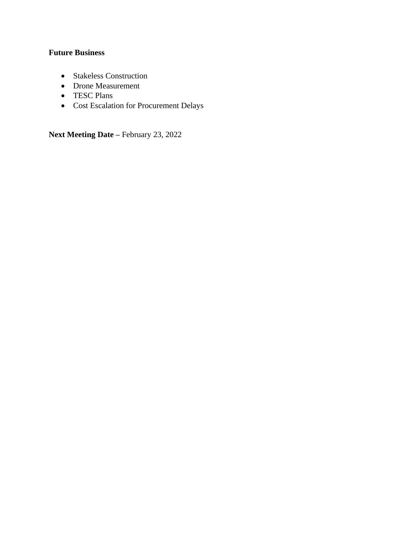# **Future Business**

- Stakeless Construction
- Drone Measurement
- TESC Plans
- Cost Escalation for Procurement Delays

**Next Meeting Date –** February 23, 2022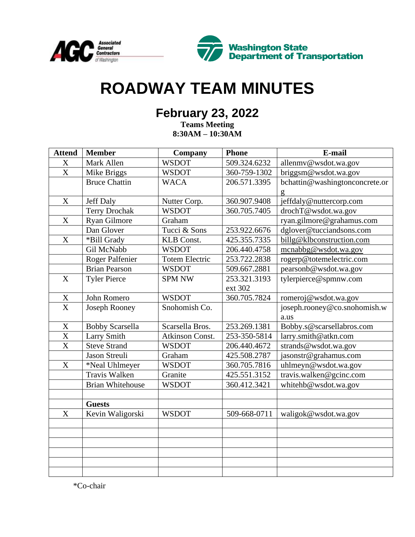



# **ROADWAY TEAM MINUTES**

# **February 23, 2022**

**Teams Meeting 8:30AM – 10:30AM**

| <b>Attend</b>         | <b>Member</b>           | Company               | <b>Phone</b> | E-mail                         |
|-----------------------|-------------------------|-----------------------|--------------|--------------------------------|
| $\mathbf X$           | Mark Allen              | <b>WSDOT</b>          | 509.324.6232 | allenmy@wsdot.wa.gov           |
| $\mathbf X$           | Mike Briggs             | <b>WSDOT</b>          | 360-759-1302 | briggsm@wsdot.wa.gov           |
|                       | <b>Bruce Chattin</b>    | <b>WACA</b>           | 206.571.3395 | bchattin@washingtonconcrete.or |
|                       |                         |                       |              | g                              |
| X                     | <b>Jeff Daly</b>        | Nutter Corp.          | 360.907.9408 | jeffdaly@nuttercorp.com        |
|                       | <b>Terry Drochak</b>    | <b>WSDOT</b>          | 360.705.7405 | drochT@wsdot.wa.gov            |
| $\mathbf X$           | Ryan Gilmore            | Graham                |              | ryan.gilmore@grahamus.com      |
|                       | Dan Glover              | Tucci & Sons          | 253.922.6676 | dglover@tucciandsons.com       |
| X                     | *Bill Grady             | <b>KLB</b> Const.     | 425.355.7335 | billg@klbconstruction.com      |
|                       | Gil McNabb              | <b>WSDOT</b>          | 206.440.4758 | mcnabbg@wsdot.wa.gov           |
|                       | <b>Roger Palfenier</b>  | <b>Totem Electric</b> | 253.722.2838 | rogerp@totemelectric.com       |
|                       | <b>Brian Pearson</b>    | <b>WSDOT</b>          | 509.667.2881 | pearsonb@wsdot.wa.gov          |
| $\boldsymbol{X}$      | <b>Tyler Pierce</b>     | <b>SPM NW</b>         | 253.321.3193 | tylerpierce@spmnw.com          |
|                       |                         |                       | ext 302      |                                |
| $\mathbf X$           | John Romero             | <b>WSDOT</b>          | 360.705.7824 | romeroj@wsdot.wa.gov           |
| $\overline{\text{X}}$ | Joseph Rooney           | Snohomish Co.         |              | joseph.rooney@co.snohomish.w   |
|                       |                         |                       |              | a.us                           |
| $\mathbf X$           | <b>Bobby Scarsella</b>  | Scarsella Bros.       | 253.269.1381 | Bobby.s@scarsellabros.com      |
| X                     | <b>Larry Smith</b>      | Atkinson Const.       | 253-350-5814 | larry.smith@atkn.com           |
| $\overline{\text{X}}$ | <b>Steve Strand</b>     | <b>WSDOT</b>          | 206.440.4672 | strands@wsdot.wa.gov           |
|                       | <b>Jason Streuli</b>    | Graham                | 425.508.2787 | jasonstr@grahamus.com          |
| X                     | *Neal Uhlmeyer          | <b>WSDOT</b>          | 360.705.7816 | uhlmeyn@wsdot.wa.gov           |
|                       | Travis Walken           | Granite               | 425.551.3152 | travis.walken@gcinc.com        |
|                       | <b>Brian Whitehouse</b> | <b>WSDOT</b>          | 360.412.3421 | whitehb@wsdot.wa.gov           |
|                       |                         |                       |              |                                |
|                       | <b>Guests</b>           |                       |              |                                |
| $\mathbf X$           | Kevin Waligorski        | <b>WSDOT</b>          | 509-668-0711 | waligok@wsdot.wa.gov           |
|                       |                         |                       |              |                                |
|                       |                         |                       |              |                                |
|                       |                         |                       |              |                                |
|                       |                         |                       |              |                                |
|                       |                         |                       |              |                                |
|                       |                         |                       |              |                                |

\*Co-chair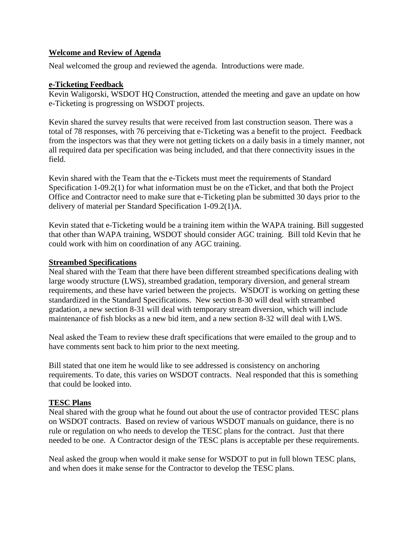# **Welcome and Review of Agenda**

Neal welcomed the group and reviewed the agenda. Introductions were made.

# **e-Ticketing Feedback**

Kevin Waligorski, WSDOT HQ Construction, attended the meeting and gave an update on how e-Ticketing is progressing on WSDOT projects.

Kevin shared the survey results that were received from last construction season. There was a total of 78 responses, with 76 perceiving that e-Ticketing was a benefit to the project. Feedback from the inspectors was that they were not getting tickets on a daily basis in a timely manner, not all required data per specification was being included, and that there connectivity issues in the field.

Kevin shared with the Team that the e-Tickets must meet the requirements of Standard Specification 1-09.2(1) for what information must be on the eTicket, and that both the Project Office and Contractor need to make sure that e-Ticketing plan be submitted 30 days prior to the delivery of material per Standard Specification 1-09.2(1)A.

Kevin stated that e-Ticketing would be a training item within the WAPA training. Bill suggested that other than WAPA training, WSDOT should consider AGC training. Bill told Kevin that he could work with him on coordination of any AGC training.

# **Streambed Specifications**

Neal shared with the Team that there have been different streambed specifications dealing with large woody structure (LWS), streambed gradation, temporary diversion, and general stream requirements, and these have varied between the projects. WSDOT is working on getting these standardized in the Standard Specifications. New section 8-30 will deal with streambed gradation, a new section 8-31 will deal with temporary stream diversion, which will include maintenance of fish blocks as a new bid item, and a new section 8-32 will deal with LWS.

Neal asked the Team to review these draft specifications that were emailed to the group and to have comments sent back to him prior to the next meeting.

Bill stated that one item he would like to see addressed is consistency on anchoring requirements. To date, this varies on WSDOT contracts. Neal responded that this is something that could be looked into.

# **TESC Plans**

Neal shared with the group what he found out about the use of contractor provided TESC plans on WSDOT contracts. Based on review of various WSDOT manuals on guidance, there is no rule or regulation on who needs to develop the TESC plans for the contract. Just that there needed to be one. A Contractor design of the TESC plans is acceptable per these requirements.

Neal asked the group when would it make sense for WSDOT to put in full blown TESC plans, and when does it make sense for the Contractor to develop the TESC plans.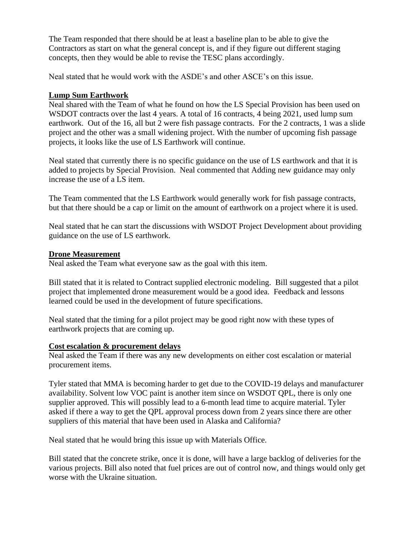The Team responded that there should be at least a baseline plan to be able to give the Contractors as start on what the general concept is, and if they figure out different staging concepts, then they would be able to revise the TESC plans accordingly.

Neal stated that he would work with the ASDE's and other ASCE's on this issue.

# **Lump Sum Earthwork**

Neal shared with the Team of what he found on how the LS Special Provision has been used on WSDOT contracts over the last 4 years. A total of 16 contracts, 4 being 2021, used lump sum earthwork. Out of the 16, all but 2 were fish passage contracts. For the 2 contracts, 1 was a slide project and the other was a small widening project. With the number of upcoming fish passage projects, it looks like the use of LS Earthwork will continue.

Neal stated that currently there is no specific guidance on the use of LS earthwork and that it is added to projects by Special Provision. Neal commented that Adding new guidance may only increase the use of a LS item.

The Team commented that the LS Earthwork would generally work for fish passage contracts, but that there should be a cap or limit on the amount of earthwork on a project where it is used.

Neal stated that he can start the discussions with WSDOT Project Development about providing guidance on the use of LS earthwork.

# **Drone Measurement**

Neal asked the Team what everyone saw as the goal with this item.

Bill stated that it is related to Contract supplied electronic modeling. Bill suggested that a pilot project that implemented drone measurement would be a good idea. Feedback and lessons learned could be used in the development of future specifications.

Neal stated that the timing for a pilot project may be good right now with these types of earthwork projects that are coming up.

#### **Cost escalation & procurement delays**

Neal asked the Team if there was any new developments on either cost escalation or material procurement items.

Tyler stated that MMA is becoming harder to get due to the COVID-19 delays and manufacturer availability. Solvent low VOC paint is another item since on WSDOT QPL, there is only one supplier approved. This will possibly lead to a 6-month lead time to acquire material. Tyler asked if there a way to get the QPL approval process down from 2 years since there are other suppliers of this material that have been used in Alaska and California?

Neal stated that he would bring this issue up with Materials Office.

Bill stated that the concrete strike, once it is done, will have a large backlog of deliveries for the various projects. Bill also noted that fuel prices are out of control now, and things would only get worse with the Ukraine situation.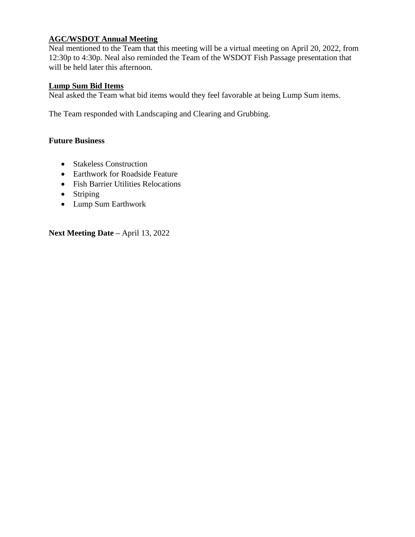# **AGC/WSDOT Annual Meeting**

Neal mentioned to the Team that this meeting will be a virtual meeting on April 20, 2022, from 12:30p to 4:30p. Neal also reminded the Team of the WSDOT Fish Passage presentation that will be held later this afternoon.

# **Lump Sum Bid Items**

Neal asked the Team what bid items would they feel favorable at being Lump Sum items.

The Team responded with Landscaping and Clearing and Grubbing.

# **Future Business**

- Stakeless Construction
- Earthwork for Roadside Feature
- Fish Barrier Utilities Relocations
- Striping
- Lump Sum Earthwork

**Next Meeting Date –** April 13, 2022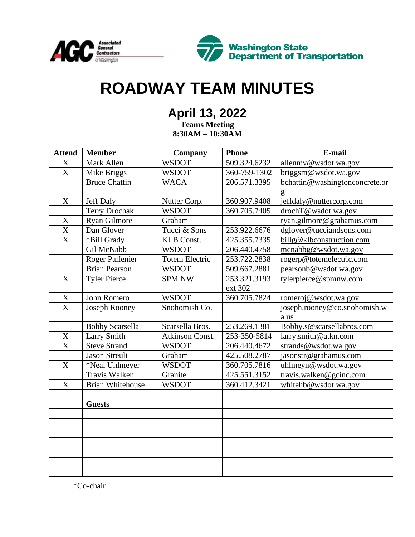



# **ROADWAY TEAM MINUTES**

# **April 13, 2022**

**Teams Meeting 8:30AM – 10:30AM**

| <b>Attend</b>         | <b>Member</b>           | <b>Company</b>         | <b>Phone</b> | E-mail                         |
|-----------------------|-------------------------|------------------------|--------------|--------------------------------|
| X                     | Mark Allen              | <b>WSDOT</b>           | 509.324.6232 | allenmy@wsdot.wa.gov           |
| $\overline{\text{X}}$ | Mike Briggs             | <b>WSDOT</b>           | 360-759-1302 | briggsm@wsdot.wa.gov           |
|                       | <b>Bruce Chattin</b>    | <b>WACA</b>            | 206.571.3395 | bchattin@washingtonconcrete.or |
|                       |                         |                        |              | g                              |
| $\mathbf X$           | <b>Jeff Daly</b>        | Nutter Corp.           | 360.907.9408 | jeffdaly@nuttercorp.com        |
|                       | <b>Terry Drochak</b>    | <b>WSDOT</b>           | 360.705.7405 | drochT@wsdot.wa.gov            |
| $\mathbf X$           | Ryan Gilmore            | Graham                 |              | ryan.gilmore@grahamus.com      |
| $\overline{\text{X}}$ | Dan Glover              | Tucci & Sons           | 253.922.6676 | dglover@tucciandsons.com       |
| X                     | *Bill Grady             | <b>KLB</b> Const.      | 425.355.7335 | billg@klbconstruction.com      |
|                       | Gil McNabb              | <b>WSDOT</b>           | 206.440.4758 | mcnabbg@wsdot.wa.gov           |
|                       | <b>Roger Palfenier</b>  | <b>Totem Electric</b>  | 253.722.2838 | rogerp@totemelectric.com       |
|                       | <b>Brian Pearson</b>    | <b>WSDOT</b>           | 509.667.2881 | pearsonb@wsdot.wa.gov          |
| $\mathbf X$           | <b>Tyler Pierce</b>     | <b>SPM NW</b>          | 253.321.3193 | tylerpierce@spmnw.com          |
|                       |                         |                        | ext 302      |                                |
| $\frac{X}{X}$         | John Romero             | <b>WSDOT</b>           | 360.705.7824 | romeroj@wsdot.wa.gov           |
|                       | <b>Joseph Rooney</b>    | Snohomish Co.          |              | joseph.rooney@co.snohomish.w   |
|                       |                         |                        |              | a.us                           |
|                       | <b>Bobby Scarsella</b>  | Scarsella Bros.        | 253.269.1381 | Bobby.s@scarsellabros.com      |
| $\overline{X}$        | <b>Larry Smith</b>      | <b>Atkinson Const.</b> | 253-350-5814 | larry.smith@atkn.com           |
| $\overline{\text{X}}$ | <b>Steve Strand</b>     | <b>WSDOT</b>           | 206.440.4672 | strands@wsdot.wa.gov           |
|                       | Jason Streuli           | Graham                 | 425.508.2787 | jasonstr@grahamus.com          |
| $\mathbf X$           | *Neal Uhlmeyer          | <b>WSDOT</b>           | 360.705.7816 | uhlmeyn@wsdot.wa.gov           |
|                       | <b>Travis Walken</b>    | Granite                | 425.551.3152 | travis.walken@gcinc.com        |
| $\mathbf X$           | <b>Brian Whitehouse</b> | <b>WSDOT</b>           | 360.412.3421 | whitehb@wsdot.wa.gov           |
|                       |                         |                        |              |                                |
|                       | <b>Guests</b>           |                        |              |                                |
|                       |                         |                        |              |                                |
|                       |                         |                        |              |                                |
|                       |                         |                        |              |                                |
|                       |                         |                        |              |                                |
|                       |                         |                        |              |                                |
|                       |                         |                        |              |                                |
|                       |                         |                        |              |                                |

\*Co-chair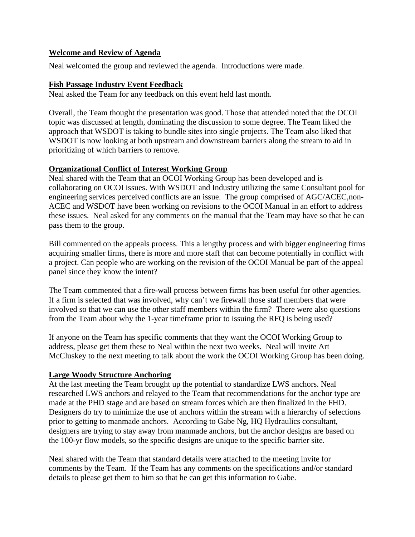# **Welcome and Review of Agenda**

Neal welcomed the group and reviewed the agenda. Introductions were made.

#### **Fish Passage Industry Event Feedback**

Neal asked the Team for any feedback on this event held last month.

Overall, the Team thought the presentation was good. Those that attended noted that the OCOI topic was discussed at length, dominating the discussion to some degree. The Team liked the approach that WSDOT is taking to bundle sites into single projects. The Team also liked that WSDOT is now looking at both upstream and downstream barriers along the stream to aid in prioritizing of which barriers to remove.

# **Organizational Conflict of Interest Working Group**

Neal shared with the Team that an OCOI Working Group has been developed and is collaborating on OCOI issues. With WSDOT and Industry utilizing the same Consultant pool for engineering services perceived conflicts are an issue. The group comprised of AGC/ACEC,non-ACEC and WSDOT have been working on revisions to the OCOI Manual in an effort to address these issues. Neal asked for any comments on the manual that the Team may have so that he can pass them to the group.

Bill commented on the appeals process. This a lengthy process and with bigger engineering firms acquiring smaller firms, there is more and more staff that can become potentially in conflict with a project. Can people who are working on the revision of the OCOI Manual be part of the appeal panel since they know the intent?

The Team commented that a fire-wall process between firms has been useful for other agencies. If a firm is selected that was involved, why can't we firewall those staff members that were involved so that we can use the other staff members within the firm? There were also questions from the Team about why the 1-year timeframe prior to issuing the RFQ is being used?

If anyone on the Team has specific comments that they want the OCOI Working Group to address, please get them these to Neal within the next two weeks. Neal will invite Art McCluskey to the next meeting to talk about the work the OCOI Working Group has been doing.

#### **Large Woody Structure Anchoring**

At the last meeting the Team brought up the potential to standardize LWS anchors. Neal researched LWS anchors and relayed to the Team that recommendations for the anchor type are made at the PHD stage and are based on stream forces which are then finalized in the FHD. Designers do try to minimize the use of anchors within the stream with a hierarchy of selections prior to getting to manmade anchors. According to Gabe Ng, HQ Hydraulics consultant, designers are trying to stay away from manmade anchors, but the anchor designs are based on the 100-yr flow models, so the specific designs are unique to the specific barrier site.

Neal shared with the Team that standard details were attached to the meeting invite for comments by the Team. If the Team has any comments on the specifications and/or standard details to please get them to him so that he can get this information to Gabe.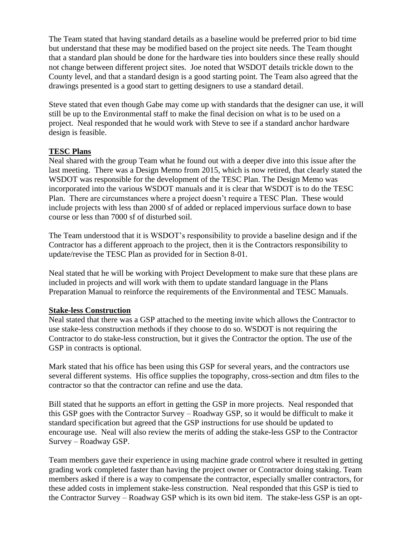The Team stated that having standard details as a baseline would be preferred prior to bid time but understand that these may be modified based on the project site needs. The Team thought that a standard plan should be done for the hardware ties into boulders since these really should not change between different project sites. Joe noted that WSDOT details trickle down to the County level, and that a standard design is a good starting point. The Team also agreed that the drawings presented is a good start to getting designers to use a standard detail.

Steve stated that even though Gabe may come up with standards that the designer can use, it will still be up to the Environmental staff to make the final decision on what is to be used on a project. Neal responded that he would work with Steve to see if a standard anchor hardware design is feasible.

#### **TESC Plans**

Neal shared with the group Team what he found out with a deeper dive into this issue after the last meeting. There was a Design Memo from 2015, which is now retired, that clearly stated the WSDOT was responsible for the development of the TESC Plan. The Design Memo was incorporated into the various WSDOT manuals and it is clear that WSDOT is to do the TESC Plan. There are circumstances where a project doesn't require a TESC Plan. These would include projects with less than 2000 sf of added or replaced impervious surface down to base course or less than 7000 sf of disturbed soil.

The Team understood that it is WSDOT's responsibility to provide a baseline design and if the Contractor has a different approach to the project, then it is the Contractors responsibility to update/revise the TESC Plan as provided for in Section 8-01.

Neal stated that he will be working with Project Development to make sure that these plans are included in projects and will work with them to update standard language in the Plans Preparation Manual to reinforce the requirements of the Environmental and TESC Manuals.

# **Stake-less Construction**

Neal stated that there was a GSP attached to the meeting invite which allows the Contractor to use stake-less construction methods if they choose to do so. WSDOT is not requiring the Contractor to do stake-less construction, but it gives the Contractor the option. The use of the GSP in contracts is optional.

Mark stated that his office has been using this GSP for several years, and the contractors use several different systems. His office supplies the topography, cross-section and dtm files to the contractor so that the contractor can refine and use the data.

Bill stated that he supports an effort in getting the GSP in more projects. Neal responded that this GSP goes with the Contractor Survey – Roadway GSP, so it would be difficult to make it standard specification but agreed that the GSP instructions for use should be updated to encourage use. Neal will also review the merits of adding the stake-less GSP to the Contractor Survey – Roadway GSP.

Team members gave their experience in using machine grade control where it resulted in getting grading work completed faster than having the project owner or Contractor doing staking. Team members asked if there is a way to compensate the contractor, especially smaller contractors, for these added costs in implement stake-less construction. Neal responded that this GSP is tied to the Contractor Survey – Roadway GSP which is its own bid item. The stake-less GSP is an opt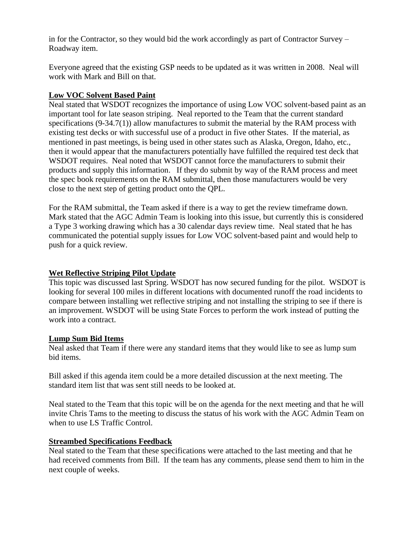in for the Contractor, so they would bid the work accordingly as part of Contractor Survey – Roadway item.

Everyone agreed that the existing GSP needs to be updated as it was written in 2008. Neal will work with Mark and Bill on that.

# **Low VOC Solvent Based Paint**

Neal stated that WSDOT recognizes the importance of using Low VOC solvent-based paint as an important tool for late season striping. Neal reported to the Team that the current standard specifications (9-34.7(1)) allow manufactures to submit the material by the RAM process with existing test decks or with successful use of a product in five other States. If the material, as mentioned in past meetings, is being used in other states such as Alaska, Oregon, Idaho, etc., then it would appear that the manufacturers potentially have fulfilled the required test deck that WSDOT requires. Neal noted that WSDOT cannot force the manufacturers to submit their products and supply this information. If they do submit by way of the RAM process and meet the spec book requirements on the RAM submittal, then those manufacturers would be very close to the next step of getting product onto the QPL.

For the RAM submittal, the Team asked if there is a way to get the review timeframe down. Mark stated that the AGC Admin Team is looking into this issue, but currently this is considered a Type 3 working drawing which has a 30 calendar days review time. Neal stated that he has communicated the potential supply issues for Low VOC solvent-based paint and would help to push for a quick review.

# **Wet Reflective Striping Pilot Update**

This topic was discussed last Spring. WSDOT has now secured funding for the pilot. WSDOT is looking for several 100 miles in different locations with documented runoff the road incidents to compare between installing wet reflective striping and not installing the striping to see if there is an improvement. WSDOT will be using State Forces to perform the work instead of putting the work into a contract.

#### **Lump Sum Bid Items**

Neal asked that Team if there were any standard items that they would like to see as lump sum bid items.

Bill asked if this agenda item could be a more detailed discussion at the next meeting. The standard item list that was sent still needs to be looked at.

Neal stated to the Team that this topic will be on the agenda for the next meeting and that he will invite Chris Tams to the meeting to discuss the status of his work with the AGC Admin Team on when to use LS Traffic Control.

# **Streambed Specifications Feedback**

Neal stated to the Team that these specifications were attached to the last meeting and that he had received comments from Bill. If the team has any comments, please send them to him in the next couple of weeks.